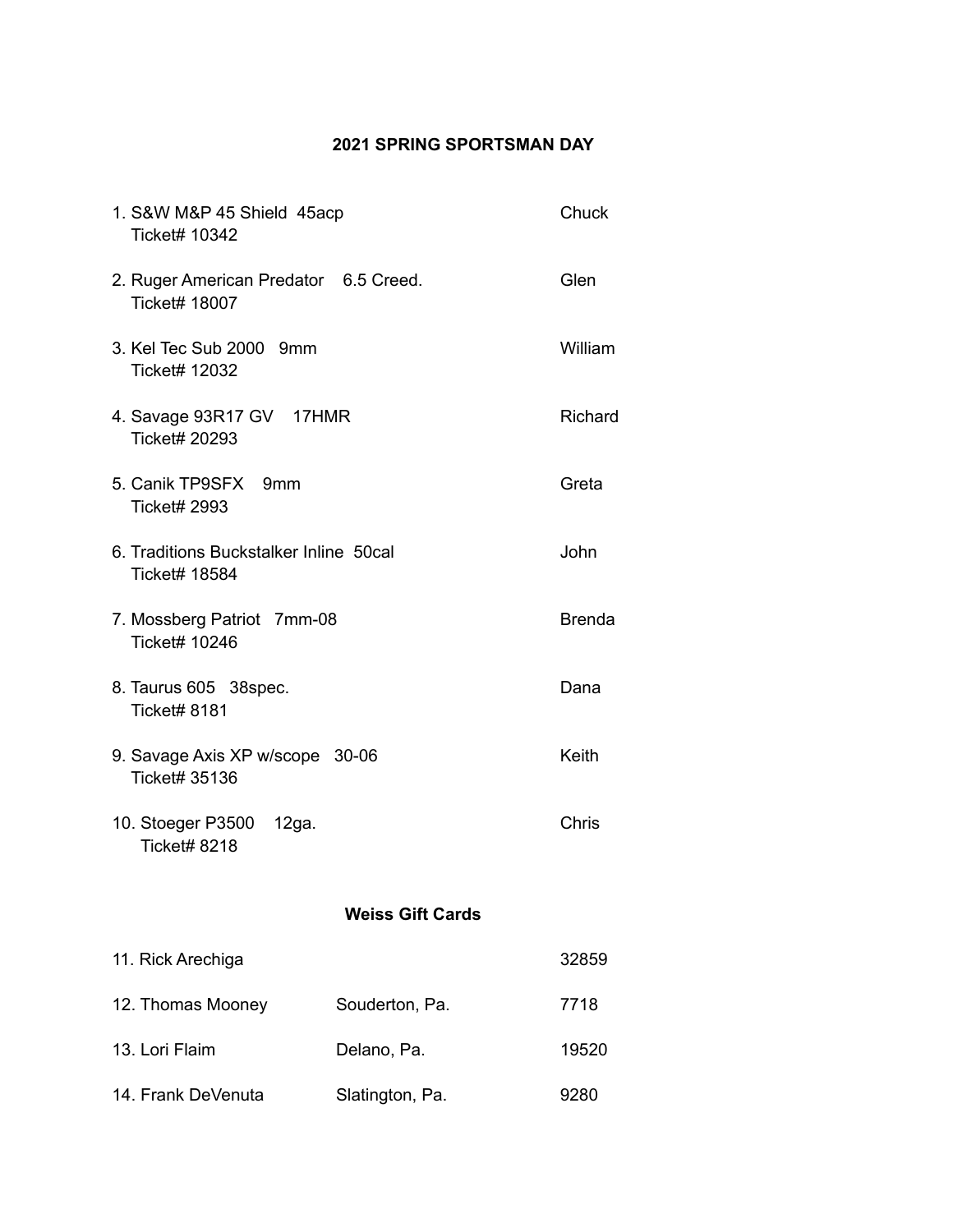## **2021 SPRING SPORTSMAN DAY**

| 1. S&W M&P 45 Shield 45acp<br>Ticket# 10342                    |                         | Chuck         |
|----------------------------------------------------------------|-------------------------|---------------|
| 2. Ruger American Predator 6.5 Creed.<br><b>Ticket# 18007</b>  |                         | Glen          |
| 3. Kel Tec Sub 2000 9mm<br>Ticket# 12032                       |                         | William       |
| 4. Savage 93R17 GV 17HMR<br><b>Ticket# 20293</b>               |                         | Richard       |
| 5. Canik TP9SFX 9mm<br><b>Ticket# 2993</b>                     |                         | Greta         |
| 6. Traditions Buckstalker Inline 50cal<br><b>Ticket# 18584</b> |                         | John          |
| 7. Mossberg Patriot 7mm-08<br><b>Ticket# 10246</b>             |                         | <b>Brenda</b> |
| 8. Taurus 605 38 spec.<br><b>Ticket# 8181</b>                  |                         | Dana          |
| 9. Savage Axis XP w/scope 30-06<br>Ticket# 35136               |                         | Keith         |
| 10. Stoeger P3500 12ga.<br><b>Ticket# 8218</b>                 |                         | Chris         |
|                                                                | <b>Weiss Gift Cards</b> |               |
| 11. Rick Arechiga                                              |                         | 32859         |
| 12. Thomas Mooney                                              | Souderton, Pa.          | 7718          |
| 13. Lori Flaim                                                 | Delano, Pa.             | 19520         |
| 14. Frank DeVenuta                                             | Slatington, Pa.         | 9280          |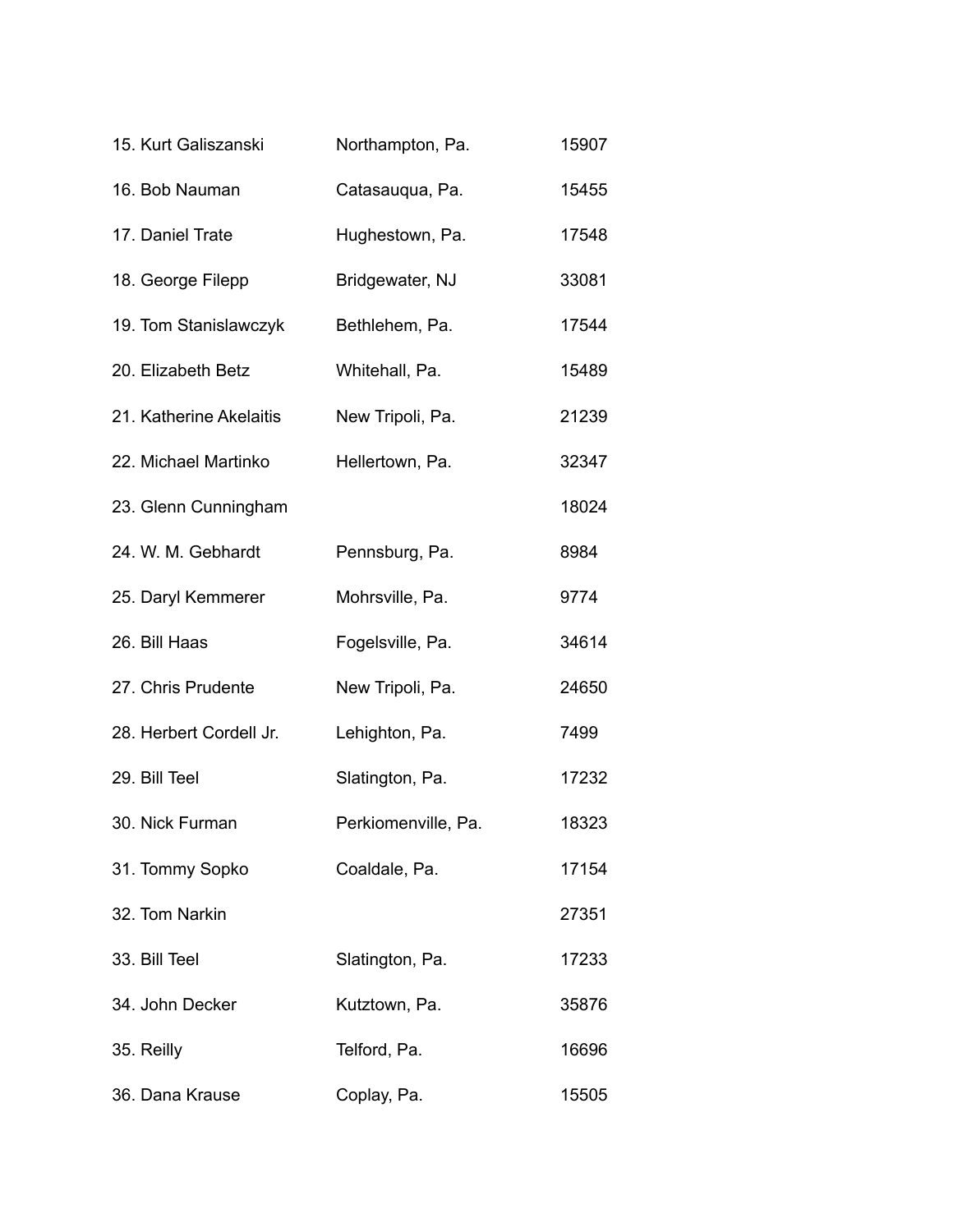| 15. Kurt Galiszanski    | Northampton, Pa.   | 15907 |
|-------------------------|--------------------|-------|
| 16. Bob Nauman          | Catasauqua, Pa.    | 15455 |
| 17. Daniel Trate        | Hughestown, Pa.    | 17548 |
| 18. George Filepp       | Bridgewater, NJ    | 33081 |
| 19. Tom Stanislawczyk   | Bethlehem, Pa.     | 17544 |
| 20. Elizabeth Betz      | Whitehall, Pa.     | 15489 |
| 21. Katherine Akelaitis | New Tripoli, Pa.   | 21239 |
| 22. Michael Martinko    | Hellertown, Pa.    | 32347 |
| 23. Glenn Cunningham    |                    | 18024 |
| 24. W. M. Gebhardt      | Pennsburg, Pa.     | 8984  |
| 25. Daryl Kemmerer      | Mohrsville, Pa.    | 9774  |
| 26. Bill Haas           | Fogelsville, Pa.   | 34614 |
| 27. Chris Prudente      | New Tripoli, Pa.   | 24650 |
| 28. Herbert Cordell Jr. | Lehighton, Pa.     | 7499  |
| 29. Bill Teel           | Slatington, Pa.    | 17232 |
| 30. Nick Furman         | Perkiomenville, Pa | 18323 |
| 31. Tommy Sopko         | Coaldale, Pa.      | 17154 |
| 32. Tom Narkin          |                    | 27351 |
| 33. Bill Teel           | Slatington, Pa.    | 17233 |
| 34. John Decker         | Kutztown, Pa.      | 35876 |
| 35. Reilly              | Telford, Pa.       | 16696 |
| 36. Dana Krause         | Coplay, Pa.        | 15505 |